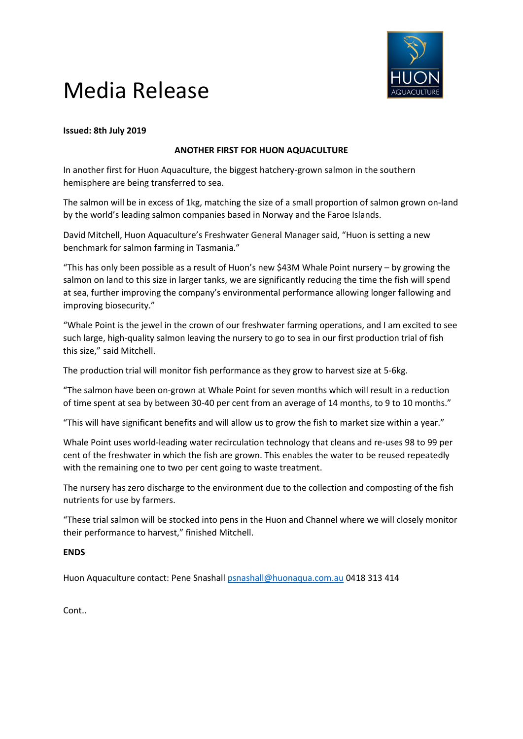

# Media Release

### **Issued: 8th July 2019**

### **ANOTHER FIRST FOR HUON AQUACULTURE**

In another first for Huon Aquaculture, the biggest hatchery-grown salmon in the southern hemisphere are being transferred to sea.

The salmon will be in excess of 1kg, matching the size of a small proportion of salmon grown on-land by the world's leading salmon companies based in Norway and the Faroe Islands.

David Mitchell, Huon Aquaculture's Freshwater General Manager said, "Huon is setting a new benchmark for salmon farming in Tasmania."

"This has only been possible as a result of Huon's new \$43M Whale Point nursery – by growing the salmon on land to this size in larger tanks, we are significantly reducing the time the fish will spend at sea, further improving the company's environmental performance allowing longer fallowing and improving biosecurity."

"Whale Point is the jewel in the crown of our freshwater farming operations, and I am excited to see such large, high-quality salmon leaving the nursery to go to sea in our first production trial of fish this size," said Mitchell.

The production trial will monitor fish performance as they grow to harvest size at 5-6kg.

"The salmon have been on-grown at Whale Point for seven months which will result in a reduction of time spent at sea by between 30-40 per cent from an average of 14 months, to 9 to 10 months."

"This will have significant benefits and will allow us to grow the fish to market size within a year."

Whale Point uses world-leading water recirculation technology that cleans and re-uses 98 to 99 per cent of the freshwater in which the fish are grown. This enables the water to be reused repeatedly with the remaining one to two per cent going to waste treatment.

The nursery has zero discharge to the environment due to the collection and composting of the fish nutrients for use by farmers.

"These trial salmon will be stocked into pens in the Huon and Channel where we will closely monitor their performance to harvest," finished Mitchell.

#### **ENDS**

Huon Aquaculture contact: Pene Snashall [psnashall@huonaqua.com.au](mailto:psnashall@huonaqua.com.au) 0418 313 414

Cont..